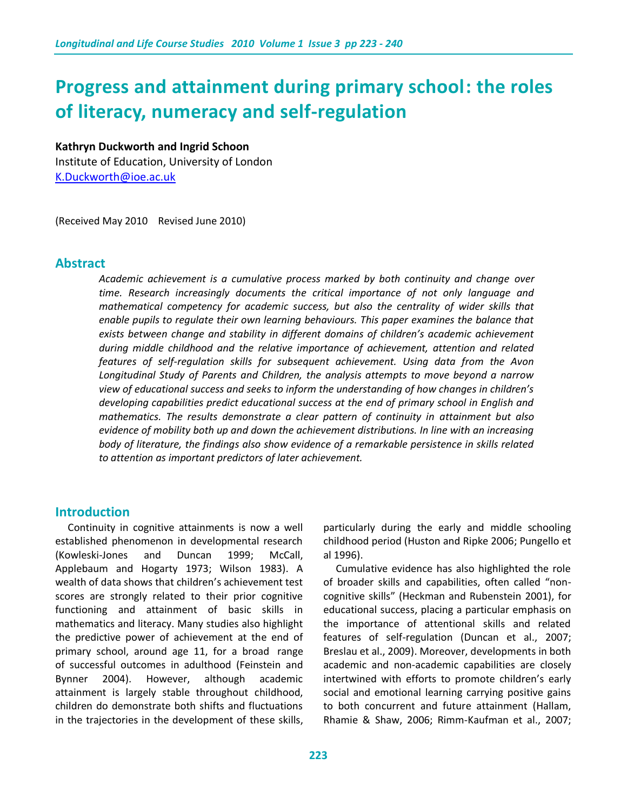# **Progress and attainment during primary school: the roles of literacy, numeracy and self-regulation**

## **Kathryn Duckworth and Ingrid Schoon**

Institute of Education, University of London [K.Duckworth@ioe.ac.uk](mailto:K.Duckworth@ioe.ac.uk)

(Received May 2010 Revised June 2010)

#### **Abstract**

*Academic achievement is a cumulative process marked by both continuity and change over time. Research increasingly documents the critical importance of not only language and mathematical competency for academic success, but also the centrality of wider skills that enable pupils to regulate their own learning behaviours. This paper examines the balance that exists between change and stability in different domains of children's academic achievement during middle childhood and the relative importance of achievement, attention and related features of self-regulation skills for subsequent achievement. Using data from the Avon Longitudinal Study of Parents and Children, the analysis attempts to move beyond a narrow view of educational success and seeks to inform the understanding of how changes in children's developing capabilities predict educational success at the end of primary school in English and mathematics. The results demonstrate a clear pattern of continuity in attainment but also evidence of mobility both up and down the achievement distributions. In line with an increasing body of literature, the findings also show evidence of a remarkable persistence in skills related to attention as important predictors of later achievement.*

#### **Introduction**

 Continuity in cognitive attainments is now a well established phenomenon in developmental research (Kowleski-Jones and Duncan 1999; McCall, Applebaum and Hogarty 1973; Wilson 1983). A wealth of data shows that children's achievement test scores are strongly related to their prior cognitive functioning and attainment of basic skills in mathematics and literacy. Many studies also highlight the predictive power of achievement at the end of primary school, around age 11, for abroad range of successful outcomes in adulthood (Feinstein and Bynner 2004). However, although academic attainment is largely stable throughout childhood, children do demonstrate both shifts and fluctuations in the trajectories in the development of these skills, particularly during the early and middle schooling childhood period (Huston and Ripke 2006; Pungello et al 1996).

 Cumulative evidence has also highlighted the role of broader skills and capabilities, often called "noncognitive skills" (Heckman and Rubenstein 2001), for educational success, placing a particular emphasis on the importance of attentional skills and related features of self-regulation (Duncan et al., 2007; Breslau et al., 2009). Moreover, developments in both academic and non-academic capabilities are closely intertwined with efforts to promote children's early social and emotional learning carrying positive gains to both concurrent and future attainment (Hallam, Rhamie & Shaw, 2006; Rimm-Kaufman et al., 2007;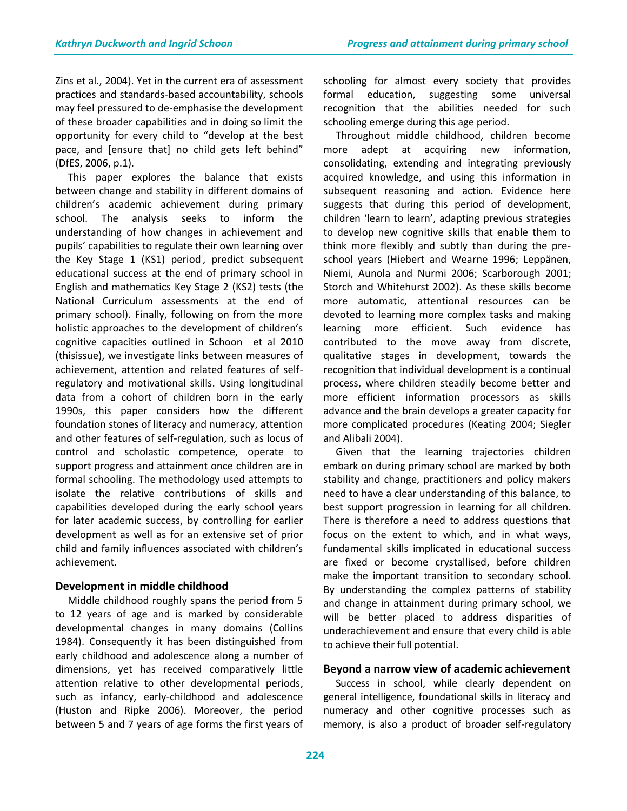Zins et al., 2004). Yet in the current era of assessment practices and standards-based accountability, schools may feel pressured to de-emphasise the development of these broader capabilities and in doing so limit the opportunity for every child to "develop at the best pace, and [ensure that] no child gets left behind" (DfES, 2006, p.1).

 This paper explores the balance that exists between change and stability in different domains of children's academic achievement during primary school. The analysis seeks to inform the understanding of how changes in achievement and pupils' capabilities to regulate their own learning over the Key Stage 1 (KS1) period<sup>i</sup>, predict subsequent educational success at the end of primary school in English and mathematics Key Stage 2 (KS2) tests (the National Curriculum assessments at the end of primary school). Finally, following on from the more holistic approaches to the development of children's cognitive capacities outlined in Schoon et al 2010 (thisissue), we investigate links between measures of achievement, attention and related features of selfregulatory and motivational skills. Using longitudinal data from a cohort of children born in the early 1990s, this paper considers how the different foundation stones of literacy and numeracy, attention and other features of self-regulation, such as locus of control and scholastic competence, operate to support progress and attainment once children are in formal schooling. The methodology used attempts to isolate the relative contributions of skills and capabilities developed during the early school years for later academic success, by controlling for earlier development as well as for an extensive set of prior child and family influences associated with children's achievement.

#### **Development in middle childhood**

 Middle childhood roughly spans the period from 5 to 12 years of age and is marked by considerable developmental changes in many domains (Collins 1984). Consequently it has been distinguished from early childhood and adolescence along a number of dimensions, yet has received comparatively little attention relative to other developmental periods, such as infancy, early-childhood and adolescence (Huston and Ripke 2006). Moreover, the period between 5 and 7 years of age forms the first years of schooling for almost every society that provides formal education, suggesting some universal recognition that the abilities needed for such schooling emerge during this age period.

 Throughout middle childhood, children become more adept at acquiring new information, consolidating, extending and integrating previously acquired knowledge, and using this information in subsequent reasoning and action. Evidence here suggests that during this period of development, children 'learn to learn', adapting previous strategies to develop new cognitive skills that enable them to think more flexibly and subtly than during the preschool years (Hiebert and Wearne 1996; Leppänen, Niemi, Aunola and Nurmi 2006; Scarborough 2001; Storch and Whitehurst 2002). As these skills become more automatic, attentional resources can be devoted to learning more complex tasks and making learning more efficient. Such evidence has contributed to the move away from discrete, qualitative stages in development, towards the recognition that individual development is a continual process, where children steadily become better and more efficient information processors as skills advance and the brain develops a greater capacity for more complicated procedures (Keating 2004; Siegler and Alibali 2004).

 Given that the learning trajectories children embark on during primary school are marked by both stability and change, practitioners and policy makers need to have a clear understanding of this balance, to best support progression in learning for all children. There is therefore a need to address questions that focus on the extent to which, and in what ways, fundamental skills implicated in educational success are fixed or become crystallised, before children make the important transition to secondary school. By understanding the complex patterns of stability and change in attainment during primary school, we will be better placed to address disparities of underachievement and ensure that every child is able to achieve their full potential.

#### **Beyond a narrow view of academic achievement**

 Success in school, while clearly dependent on general intelligence, foundational skills in literacy and numeracy and other cognitive processes such as memory, is also a product of broader self-regulatory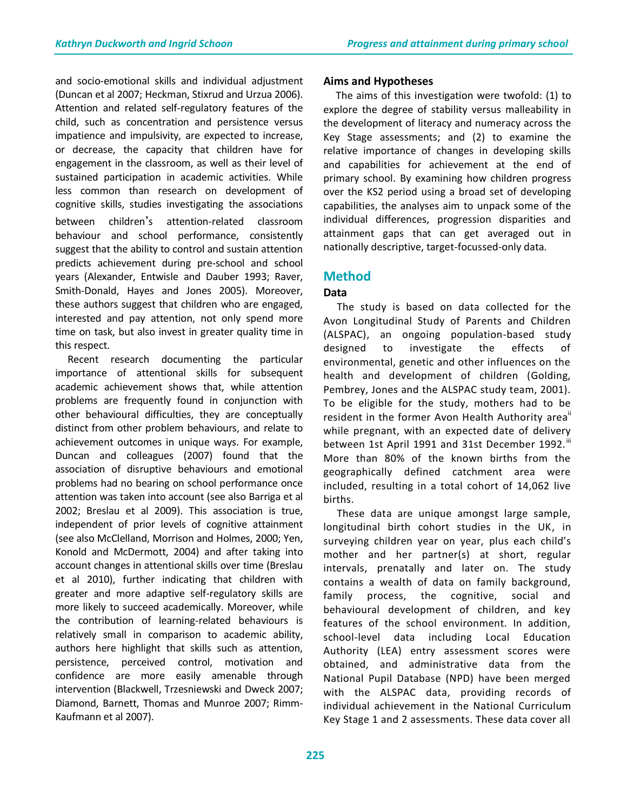and socio-emotional skills and individual adjustment (Duncan et al 2007; Heckman, Stixrud and Urzua 2006). Attention and related self-regulatory features of the child, such as concentration and persistence versus impatience and impulsivity, are expected to increase, or decrease, the capacity that children have for engagement in the classroom, as well as their level of sustained participation in academic activities. While less common than research on development of cognitive skills, studies investigating the associations between children's attention-related classroom behaviour and school performance, consistently suggest that the ability to control and sustain attention predicts achievement during pre-school and school years (Alexander, Entwisle and Dauber 1993; Raver, Smith-Donald, Hayes and Jones 2005). Moreover, these authors suggest that children who are engaged, interested and pay attention, not only spend more time on task, but also invest in greater quality time in this respect.

 Recent research documenting the particular importance of attentional skills for subsequent academic achievement shows that, while attention problems are frequently found in conjunction with other behavioural difficulties, they are conceptually distinct from other problem behaviours, and relate to achievement outcomes in unique ways. For example, Duncan and colleagues (2007) found that the association of disruptive behaviours and emotional problems had no bearing on school performance once attention was taken into account (see also Barriga et al 2002; Breslau et al 2009). This association is true, independent of prior levels of cognitive attainment (see also McClelland, Morrison and Holmes, 2000; Yen, Konold and McDermott, 2004) and after taking into account changes in attentional skills over time (Breslau et al 2010), further indicating that children with greater and more adaptive self-regulatory skills are more likely to succeed academically. Moreover, while the contribution of learning-related behaviours is relatively small in comparison to academic ability, authors here highlight that skills such as attention, persistence, perceived control, motivation and confidence are more easily amenable through intervention (Blackwell, Trzesniewski and Dweck 2007; Diamond, Barnett, Thomas and Munroe 2007; Rimm-Kaufmann et al 2007).

## **Aims and Hypotheses**

 The aims of this investigation were twofold: (1) to explore the degree of stability versus malleability in the development of literacy and numeracy across the Key Stage assessments; and (2) to examine the relative importance of changes in developing skills and capabilities for achievement at the end of primary school. By examining how children progress over the KS2 period using a broad set of developing capabilities, the analyses aim to unpack some of the individual differences, progression disparities and attainment gaps that can get averaged out in nationally descriptive, target-focussed-only data.

# **Method**

# **Data**

 The study is based on data collected for the Avon Longitudinal Study of Parents and Children (ALSPAC), an ongoing population-based study designed to investigate the effects of environmental, genetic and other influences on the health and development of children (Golding, Pembrey, Jones and the ALSPAC study team, 2001). To be eligible for the study, mothers had to be resident in the former Avon Health Authority area" while pregnant, with an expected date of delivery between 1st April 1991 and 31st December 1992.<sup>iii</sup> More than 80% of the known births from the geographically defined catchment area were included, resulting in a total cohort of 14,062 live births.

 These data are unique amongst large sample, longitudinal birth cohort studies in the UK, in surveying children year on year, plus each child's mother and her partner(s) at short, regular intervals, prenatally and later on. The study contains a wealth of data on family background, family process, the cognitive, social and behavioural development of children, and key features of the school environment. In addition, school-level data including Local Education Authority (LEA) entry assessment scores were obtained, and administrative data from the National Pupil Database (NPD) have been merged with the ALSPAC data, providing records of individual achievement in the National Curriculum Key Stage 1 and 2 assessments. These data cover all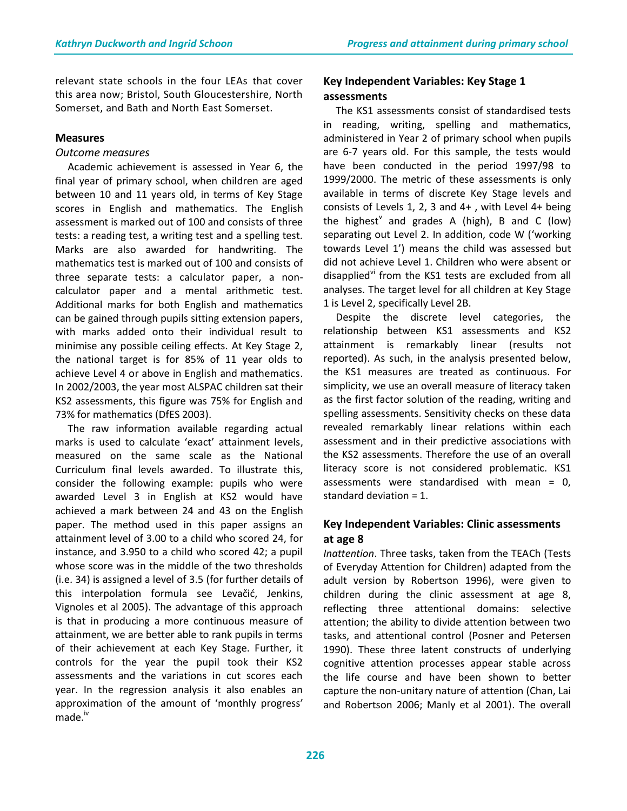relevant state schools in the four LEAs that cover this area now; Bristol, South Gloucestershire, North Somerset, and Bath and North East Somerset.

#### **Measures**

#### *Outcome measures*

 Academic achievement is assessed in Year 6, the final year of primary school, when children are aged between 10 and 11 years old, in terms of Key Stage scores in English and mathematics. The English assessment is marked out of 100 and consists of three tests: a reading test, a writing test and a spelling test. Marks are also awarded for handwriting. The mathematics test is marked out of 100 and consists of three separate tests: a calculator paper, a noncalculator paper and a mental arithmetic test. Additional marks for both English and mathematics can be gained through pupils sitting extension papers, with marks added onto their individual result to minimise any possible ceiling effects. At Key Stage 2, the national target is for 85% of 11 year olds to achieve Level 4 or above in English and mathematics. In 2002/2003, the year most ALSPAC children sat their KS2 assessments, this figure was 75% for English and 73% for mathematics (DfES 2003).

 The raw information available regarding actual marks is used to calculate 'exact' attainment levels, measured on the same scale as the National Curriculum final levels awarded. To illustrate this, consider the following example: pupils who were awarded Level 3 in English at KS2 would have achieved a mark between 24 and 43 on the English paper. The method used in this paper assigns an attainment level of 3.00 to a child who scored 24, for instance, and 3.950 to a child who scored 42; a pupil whose score was in the middle of the two thresholds (i.e. 34) is assigned a level of 3.5 (for further details of this interpolation formula see Levačić, Jenkins, Vignoles et al 2005). The advantage of this approach is that in producing a more continuous measure of attainment, we are better able to rank pupils in terms of their achievement at each Key Stage. Further, it controls for the year the pupil took their KS2 assessments and the variations in cut scores each year. In the regression analysis it also enables an approximation of the amount of 'monthly progress' made.<sup>iv</sup>

## **Key Independent Variables: Key Stage 1 assessments**

 The KS1 assessments consist of standardised tests in reading, writing, spelling and mathematics, administered in Year 2 of primary school when pupils are 6-7 years old. For this sample, the tests would have been conducted in the period 1997/98 to 1999/2000. The metric of these assessments is only available in terms of discrete Key Stage levels and consists of Levels 1, 2, 3 and 4+ , with Level 4+ being the highest<sup>v</sup> and grades A (high), B and C (low) separating out Level 2. In addition, code W ('working towards Level 1') means the child was assessed but did not achieve Level 1. Children who were absent or disapplied $v$  from the KS1 tests are excluded from all analyses. The target level for all children at Key Stage 1 is Level 2, specifically Level 2B.

 Despite the discrete level categories, the relationship between KS1 assessments and KS2 attainment is remarkably linear (results not reported). As such, in the analysis presented below, the KS1 measures are treated as continuous. For simplicity, we use an overall measure of literacy taken as the first factor solution of the reading, writing and spelling assessments. Sensitivity checks on these data revealed remarkably linear relations within each assessment and in their predictive associations with the KS2 assessments. Therefore the use of an overall literacy score is not considered problematic. KS1 assessments were standardised with mean  $= 0$ , standard deviation = 1.

# **Key Independent Variables: Clinic assessments at age 8**

*Inattention*. Three tasks, taken from the TEACh (Tests of Everyday Attention for Children) adapted from the adult version by Robertson 1996), were given to children during the clinic assessment at age 8, reflecting three attentional domains: selective attention; the ability to divide attention between two tasks, and attentional control (Posner and Petersen 1990). These three latent constructs of underlying cognitive attention processes appear stable across the life course and have been shown to better capture the non-unitary nature of attention (Chan, Lai and Robertson 2006; Manly et al 2001). The overall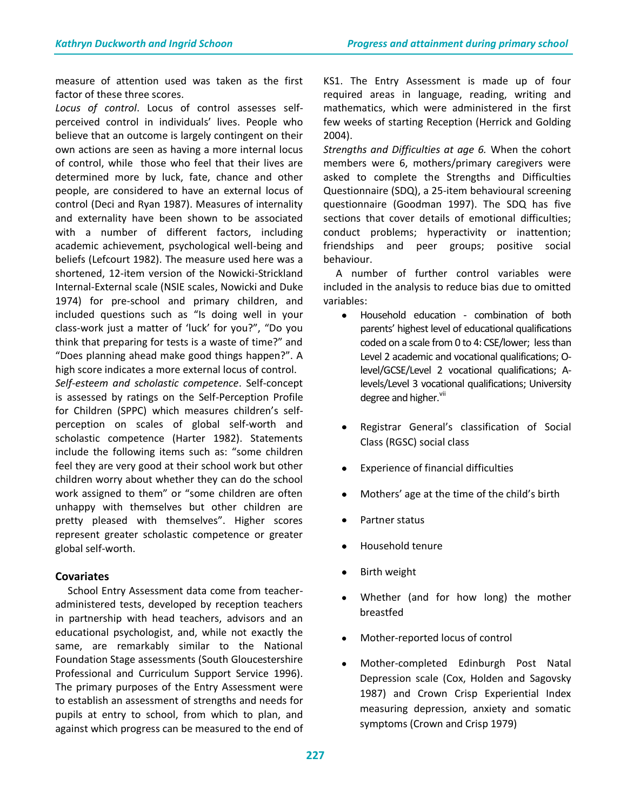measure of attention used was taken as the first factor of these three scores.

*Locus of control*. Locus of control assesses selfperceived control in individuals' lives. People who believe that an outcome is largely contingent on their own actions are seen as having a more internal locus of control, while those who feel that their lives are determined more by luck, fate, chance and other people, are considered to have an external locus of control (Deci and Ryan 1987). Measures of internality and externality have been shown to be associated with a number of different factors, including academic achievement, psychological well-being and beliefs (Lefcourt 1982). The measure used here was a shortened, 12-item version of the Nowicki-Strickland Internal-External scale (NSIE scales, Nowicki and Duke 1974) for pre-school and primary children, and included questions such as "Is doing well in your class-work just a matter of 'luck' for you?", "Do you think that preparing for tests is a waste of time?" and "Does planning ahead make good things happen?". A high score indicates a more external locus of control.

*Self-esteem and scholastic competence*. Self-concept is assessed by ratings on the Self-Perception Profile for Children (SPPC) which measures children's selfperception on scales of global self-worth and scholastic competence (Harter 1982). Statements include the following items such as: "some children feel they are very good at their school work but other children worry about whether they can do the school work assigned to them" or "some children are often unhappy with themselves but other children are pretty pleased with themselves". Higher scores represent greater scholastic competence or greater global self-worth.

#### **Covariates**

 School Entry Assessment data come from teacheradministered tests, developed by reception teachers in partnership with head teachers, advisors and an educational psychologist, and, while not exactly the same, are remarkably similar to the National Foundation Stage assessments (South Gloucestershire Professional and Curriculum Support Service 1996). The primary purposes of the Entry Assessment were to establish an assessment of strengths and needs for pupils at entry to school, from which to plan, and against which progress can be measured to the end of KS1. The Entry Assessment is made up of four required areas in language, reading, writing and mathematics, which were administered in the first few weeks of starting Reception (Herrick and Golding 2004).

*Strengths and Difficulties at age 6.* When the cohort members were 6, mothers/primary caregivers were asked to complete the Strengths and Difficulties Questionnaire (SDQ), a 25-item behavioural screening questionnaire (Goodman 1997). The SDQ has five sections that cover details of emotional difficulties; conduct problems; hyperactivity or inattention; friendships and peer groups; positive social behaviour.

A number of further control variables were included in the analysis to reduce bias due to omitted variables:

- $\bullet$ Household education - combination of both parents' highest level of educational qualifications coded on a scale from 0 to 4: CSE/lower; less than Level 2 academic and vocational qualifications; Olevel/GCSE/Level 2 vocational qualifications; Alevels/Level 3 vocational qualifications; University degree and higher.<sup>VII</sup>
- Registrar General's classification of Social Class (RGSC) social class
- Experience of financial difficulties
- Mothers' age at the time of the child's birth
- Partner status
- Household tenure
- Birth weight
- Whether (and for how long) the mother breastfed
- Mother-reported locus of control
- Mother-completed Edinburgh Post Natal Depression scale (Cox, Holden and Sagovsky 1987) and Crown Crisp Experiential Index measuring depression, anxiety and somatic symptoms (Crown and Crisp 1979)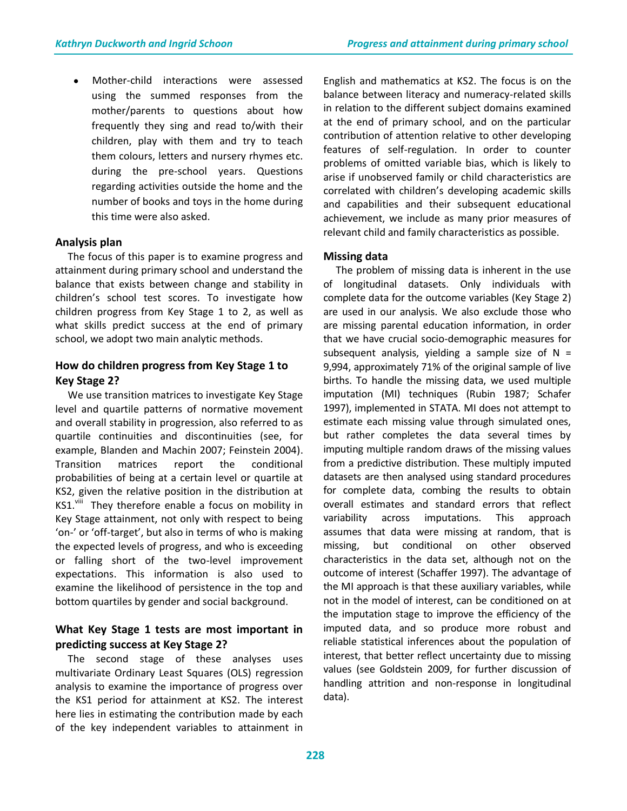Mother-child interactions were assessed using the summed responses from the mother/parents to questions about how frequently they sing and read to/with their children, play with them and try to teach them colours, letters and nursery rhymes etc. during the pre-school years. Questions regarding activities outside the home and the number of books and toys in the home during this time were also asked.

#### **Analysis plan**

The focus of this paper is to examine progress and attainment during primary school and understand the balance that exists between change and stability in children's school test scores. To investigate how children progress from Key Stage 1 to 2, as well as what skills predict success at the end of primary school, we adopt two main analytic methods.

# **How do children progress from Key Stage 1 to Key Stage 2?**

We use transition matrices to investigate Key Stage level and quartile patterns of normative movement and overall stability in progression, also referred to as quartile continuities and discontinuities (see, for example, Blanden and Machin 2007; Feinstein 2004). Transition matrices report the conditional probabilities of being at a certain level or quartile at KS2, given the relative position in the distribution at KS1.<sup>viii</sup> They therefore enable a focus on mobility in Key Stage attainment, not only with respect to being 'on-' or 'off-target', but also in terms of who is making the expected levels of progress, and who is exceeding or falling short of the two-level improvement expectations. This information is also used to examine the likelihood of persistence in the top and bottom quartiles by gender and social background.

# **What Key Stage 1 tests are most important in predicting success at Key Stage 2?**

The second stage of these analyses uses multivariate Ordinary Least Squares (OLS) regression analysis to examine the importance of progress over the KS1 period for attainment at KS2. The interest here lies in estimating the contribution made by each of the key independent variables to attainment in

English and mathematics at KS2. The focus is on the balance between literacy and numeracy-related skills in relation to the different subject domains examined at the end of primary school, and on the particular contribution of attention relative to other developing features of self-regulation. In order to counter problems of omitted variable bias, which is likely to arise if unobserved family or child characteristics are correlated with children's developing academic skills and capabilities and their subsequent educational achievement, we include as many prior measures of relevant child and family characteristics as possible.

## **Missing data**

The problem of missing data is inherent in the use of longitudinal datasets. Only individuals with complete data for the outcome variables (Key Stage 2) are used in our analysis. We also exclude those who are missing parental education information, in order that we have crucial socio-demographic measures for subsequent analysis, yielding a sample size of  $N =$ 9,994, approximately 71% of the original sample of live births. To handle the missing data, we used multiple imputation (MI) techniques (Rubin 1987; Schafer 1997), implemented in STATA. MI does not attempt to estimate each missing value through simulated ones, but rather completes the data several times by imputing multiple random draws of the missing values from a predictive distribution. These multiply imputed datasets are then analysed using standard procedures for complete data, combing the results to obtain overall estimates and standard errors that reflect variability across imputations. This approach assumes that data were missing at random, that is missing, but conditional on other observed characteristics in the data set, although not on the outcome of interest (Schaffer 1997). The advantage of the MI approach is that these auxiliary variables, while not in the model of interest, can be conditioned on at the imputation stage to improve the efficiency of the imputed data, and so produce more robust and reliable statistical inferences about the population of interest, that better reflect uncertainty due to missing values (see Goldstein 2009, for further discussion of handling attrition and non-response in longitudinal data).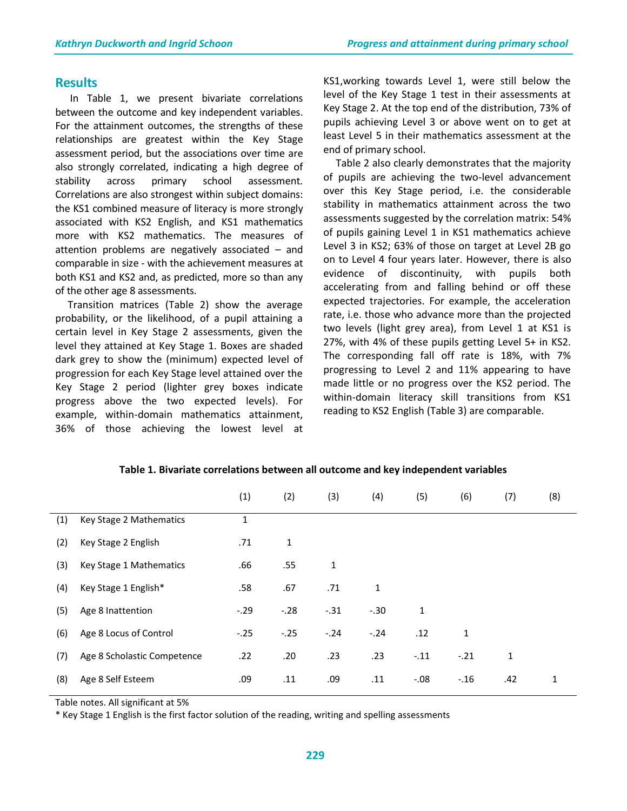#### **Results**

In Table 1, we present bivariate correlations between the outcome and key independent variables. For the attainment outcomes, the strengths of these relationships are greatest within the Key Stage assessment period, but the associations over time are also strongly correlated, indicating a high degree of stability across primary school assessment. Correlations are also strongest within subject domains: the KS1 combined measure of literacy is more strongly associated with KS2 English, and KS1 mathematics more with KS2 mathematics. The measures of attention problems are negatively associated – and comparable in size - with the achievement measures at both KS1 and KS2 and, as predicted, more so than any of the other age 8 assessments.

Transition matrices (Table 2) show the average probability, or the likelihood, of a pupil attaining a certain level in Key Stage 2 assessments, given the level they attained at Key Stage 1. Boxes are shaded dark grey to show the (minimum) expected level of progression for each Key Stage level attained over the Key Stage 2 period (lighter grey boxes indicate progress above the two expected levels). For example, within-domain mathematics attainment, 36% of those achieving the lowest level at KS1,working towards Level 1, were still below the level of the Key Stage 1 test in their assessments at Key Stage 2. At the top end of the distribution, 73% of pupils achieving Level 3 or above went on to get at least Level 5 in their mathematics assessment at the end of primary school.

 Table 2 also clearly demonstrates that the majority of pupils are achieving the two-level advancement over this Key Stage period, i.e. the considerable stability in mathematics attainment across the two assessments suggested by the correlation matrix: 54% of pupils gaining Level 1 in KS1 mathematics achieve Level 3 in KS2; 63% of those on target at Level 2B go on to Level 4 four years later. However, there is also evidence of discontinuity, with pupils both accelerating from and falling behind or off these expected trajectories. For example, the acceleration rate, i.e. those who advance more than the projected two levels (light grey area), from Level 1 at KS1 is 27%, with 4% of these pupils getting Level 5+ in KS2. The corresponding fall off rate is 18%, with 7% progressing to Level 2 and 11% appearing to have made little or no progress over the KS2 period. The within-domain literacy skill transitions from KS1 reading to KS2 English (Table 3) are comparable.

|     |                             | (1)    | (2)    | (3)          | (4)    | (5)          | (6)    | (7) | (8) |
|-----|-----------------------------|--------|--------|--------------|--------|--------------|--------|-----|-----|
| (1) | Key Stage 2 Mathematics     | 1      |        |              |        |              |        |     |     |
| (2) | Key Stage 2 English         | .71    | 1      |              |        |              |        |     |     |
| (3) | Key Stage 1 Mathematics     | .66    | .55    | $\mathbf{1}$ |        |              |        |     |     |
| (4) | Key Stage 1 English*        | .58    | .67    | .71          | 1      |              |        |     |     |
| (5) | Age 8 Inattention           | $-.29$ | $-.28$ | $-.31$       | $-.30$ | $\mathbf{1}$ |        |     |     |
| (6) | Age 8 Locus of Control      | $-.25$ | $-.25$ | $-.24$       | $-.24$ | .12          | 1      |     |     |
| (7) | Age 8 Scholastic Competence | .22    | .20    | .23          | .23    | $-.11$       | $-.21$ | 1   |     |
| (8) | Age 8 Self Esteem           | .09    | .11    | .09          | .11    | $-.08$       | $-.16$ | .42 | 1   |

**Table 1. Bivariate correlations between all outcome and key independent variables**

Table notes. All significant at 5%

\* Key Stage 1 English is the first factor solution of the reading, writing and spelling assessments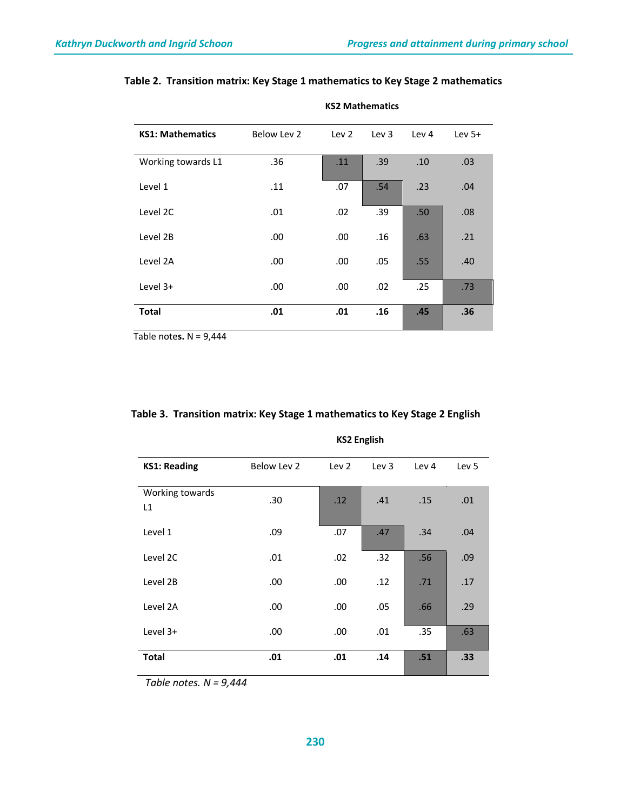| <b>KS1: Mathematics</b> | Below Lev 2 | Lev <sub>2</sub> | Lev $3$ | Lev <sub>4</sub> | Lev $5+$ |
|-------------------------|-------------|------------------|---------|------------------|----------|
| Working towards L1      | .36         | .11              | .39     | .10              | .03      |
| Level 1                 | .11         | .07              | .54     | .23              | .04      |
| Level 2C                | .01         | .02              | .39     | .50 <sub>1</sub> | .08      |
| Level 2B                | .00         | .00.             | .16     | .63              | .21      |
| Level 2A                | .00         | .00              | .05     | .55              | .40      |
| Level $3+$              | .00         | .00              | .02     | .25              | .73      |
| <b>Total</b>            | .01         | .01              | .16     | .45              | .36      |

# **Table 2. Transition matrix: Key Stage 1 mathematics to Key Stage 2 mathematics**

**KS2 Mathematics**

Table note**s.** N = 9,444

|                       |             | ווטוואָווט בעת   |                  |                  |                  |
|-----------------------|-------------|------------------|------------------|------------------|------------------|
| <b>KS1: Reading</b>   | Below Lev 2 | Lev <sub>2</sub> | Lev <sub>3</sub> | Lev <sub>4</sub> | Lev <sub>5</sub> |
| Working towards<br>L1 | .30         | .12              | .41              | .15              | .01              |
| Level 1               | .09         | .07              | .47              | .34              | .04              |
| Level 2C              | .01         | .02              | .32              | .56              | .09              |
| Level 2B              | .00.        | .00.             | .12              | .71              | .17              |
| Level 2A              | .00.        | .00.             | .05              | .66              | .29              |
| Level $3+$            | .00.        | .00              | .01              | .35              | .63              |
| <b>Total</b>          | .01         |                  | .14              | .51              | .33              |

#### **Table 3. Transition matrix: Key Stage 1 mathematics to Key Stage 2 English**

#### **KS2 English**

 *Table notes. N = 9,444*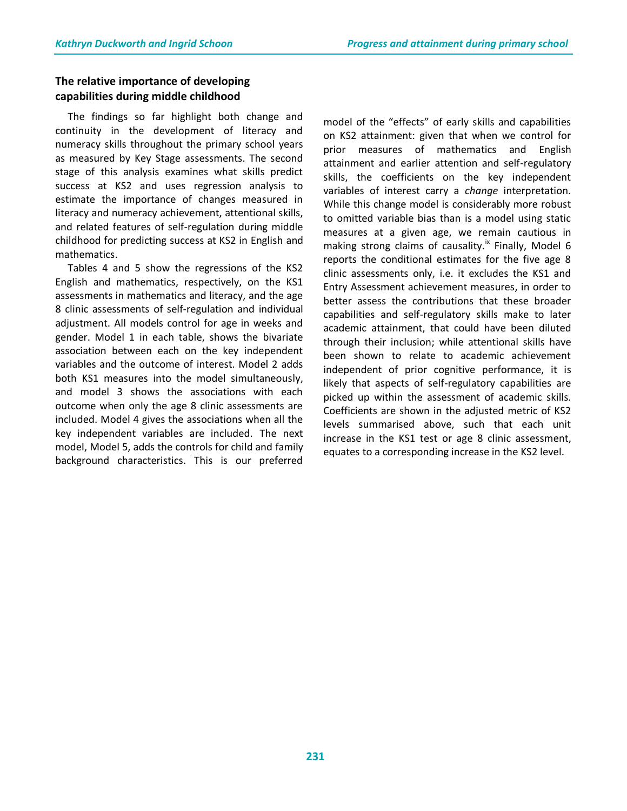# **The relative importance of developing capabilities during middle childhood**

 The findings so far highlight both change and continuity in the development of literacy and numeracy skills throughout the primary school years as measured by Key Stage assessments. The second stage of this analysis examines what skills predict success at KS2 and uses regression analysis to estimate the importance of changes measured in literacy and numeracy achievement, attentional skills, and related features of self-regulation during middle childhood for predicting success at KS2 in English and mathematics.

 Tables 4 and 5 show the regressions of the KS2 English and mathematics, respectively, on the KS1 assessments in mathematics and literacy, and the age 8 clinic assessments of self-regulation and individual adjustment. All models control for age in weeks and gender. Model 1 in each table, shows the bivariate association between each on the key independent variables and the outcome of interest. Model 2 adds both KS1 measures into the model simultaneously, and model 3 shows the associations with each outcome when only the age 8 clinic assessments are included. Model 4 gives the associations when all the key independent variables are included. The next model, Model 5, adds the controls for child and family background characteristics. This is our preferred model of the "effects" of early skills and capabilities on KS2 attainment: given that when we control for prior measures of mathematics and English attainment and earlier attention and self-regulatory skills, the coefficients on the key independent variables of interest carry a *change* interpretation. While this change model is considerably more robust to omitted variable bias than is a model using static measures at a given age, we remain cautious in making strong claims of causality.<sup>ix</sup> Finally, Model 6 reports the conditional estimates for the five age 8 clinic assessments only, i.e. it excludes the KS1 and Entry Assessment achievement measures, in order to better assess the contributions that these broader capabilities and self-regulatory skills make to later academic attainment, that could have been diluted through their inclusion; while attentional skills have been shown to relate to academic achievement independent of prior cognitive performance, it is likely that aspects of self-regulatory capabilities are picked up within the assessment of academic skills. Coefficients are shown in the adjusted metric of KS2 levels summarised above, such that each unit increase in the KS1 test or age 8 clinic assessment, equates to a corresponding increase in the KS2 level.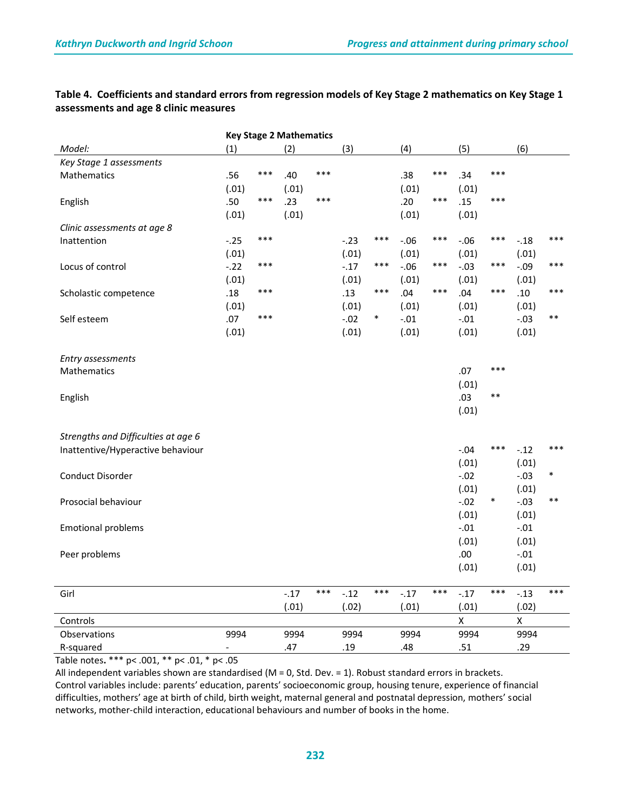## **Table 4. Coefficients and standard errors from regression models of Key Stage 2 mathematics on Key Stage 1 assessments and age 8 clinic measures**

| <b>Key Stage 2 Mathematics</b>      |                          |       |        |     |         |        |        |       |                |        |                    |       |
|-------------------------------------|--------------------------|-------|--------|-----|---------|--------|--------|-------|----------------|--------|--------------------|-------|
| Model:                              | (1)                      |       | (2)    |     | (3)     |        | (4)    |       | (5)            |        | (6)                |       |
| Key Stage 1 assessments             |                          |       |        |     |         |        |        |       |                |        |                    |       |
| Mathematics                         | .56                      | ***   | .40    | *** |         |        | .38    | ***   | .34            | ***    |                    |       |
|                                     | (.01)                    |       | (.01)  |     |         |        | (.01)  |       | (.01)          |        |                    |       |
| English                             | .50                      | $***$ | .23    | *** |         |        | .20    | ***   | .15            | ***    |                    |       |
|                                     | (.01)                    |       | (.01)  |     |         |        | (.01)  |       | (.01)          |        |                    |       |
| Clinic assessments at age 8         |                          |       |        |     |         |        |        |       |                |        |                    |       |
| Inattention                         | $-.25$                   | ***   |        |     | $-23$   | ***    | $-.06$ | ***   | $-.06$         | ***    | $-.18$             | ***   |
|                                     | (.01)                    |       |        |     | (.01)   |        | (.01)  |       | (.01)          |        | (.01)              |       |
| Locus of control                    | $-.22$                   | ***   |        |     | $-0.17$ | ***    | $-.06$ | $***$ | $-.03$         | $***$  | $-.09$             | ***   |
|                                     | (.01)                    |       |        |     | (.01)   |        | (.01)  |       | (.01)          |        | (.01)              |       |
| Scholastic competence               | .18                      | ***   |        |     | .13     | $***$  | .04    | $***$ | .04            | $***$  | .10                | $***$ |
|                                     | (.01)                    |       |        |     | (.01)   |        | (.01)  |       | (.01)          |        | (.01)              |       |
| Self esteem                         | .07                      | ***   |        |     | $-.02$  | $\ast$ | $-.01$ |       | $-.01$         |        | $-.03$             | $***$ |
|                                     | (.01)                    |       |        |     | (.01)   |        | (.01)  |       | (.01)          |        | (.01)              |       |
|                                     |                          |       |        |     |         |        |        |       |                |        |                    |       |
| Entry assessments                   |                          |       |        |     |         |        |        |       |                |        |                    |       |
| Mathematics                         |                          |       |        |     |         |        |        |       | .07            | ***    |                    |       |
|                                     |                          |       |        |     |         |        |        |       | (.01)          |        |                    |       |
| English                             |                          |       |        |     |         |        |        |       | .03            | $***$  |                    |       |
|                                     |                          |       |        |     |         |        |        |       | (.01)          |        |                    |       |
|                                     |                          |       |        |     |         |        |        |       |                |        |                    |       |
| Strengths and Difficulties at age 6 |                          |       |        |     |         |        |        |       |                |        |                    |       |
| Inattentive/Hyperactive behaviour   |                          |       |        |     |         |        |        |       | $-.04$         | ***    | $-.12$             | ***   |
|                                     |                          |       |        |     |         |        |        |       | (.01)          |        | (.01)              |       |
| Conduct Disorder                    |                          |       |        |     |         |        |        |       | $-.02$         |        | $-.03$             | ∗     |
|                                     |                          |       |        |     |         |        |        |       | (.01)          |        | (.01)              |       |
| Prosocial behaviour                 |                          |       |        |     |         |        |        |       | $-.02$         | $\ast$ | $-.03$             | $***$ |
|                                     |                          |       |        |     |         |        |        |       | (.01)          |        | (.01)              |       |
| <b>Emotional problems</b>           |                          |       |        |     |         |        |        |       | $-.01$         |        | $-.01$             |       |
|                                     |                          |       |        |     |         |        |        |       | (.01)          |        | (.01)              |       |
| Peer problems                       |                          |       |        |     |         |        |        |       | .00            |        | $-.01$             |       |
|                                     |                          |       |        |     |         |        |        |       | (.01)          |        | (.01)              |       |
|                                     |                          |       |        |     |         |        |        |       |                |        |                    |       |
| Girl                                |                          |       | $-.17$ | *** | $-.12$  | ***    | $-.17$ | ***   | $-.17$         | ***    | $-.13$             | $***$ |
|                                     |                          |       | (.01)  |     | (.02)   |        | (.01)  |       | (.01)          |        | (.02)              |       |
| Controls                            |                          |       |        |     |         |        |        |       | $\pmb{\times}$ |        | $\pmb{\mathsf{X}}$ |       |
| Observations                        | 9994                     |       | 9994   |     | 9994    |        | 9994   |       | 9994           |        | 9994               |       |
| R-squared                           | $\overline{\phantom{a}}$ |       | .47    |     | .19     |        | .48    |       | .51            |        | .29                |       |

Table notes**.** \*\*\* p< .001, \*\* p< .01, \* p< .05

All independent variables shown are standardised ( $M = 0$ , Std. Dev. = 1). Robust standard errors in brackets. Control variables include: parents' education, parents' socioeconomic group, housing tenure, experience of financial difficulties, mothers' age at birth of child, birth weight, maternal general and postnatal depression, mothers' social networks, mother-child interaction, educational behaviours and number of books in the home.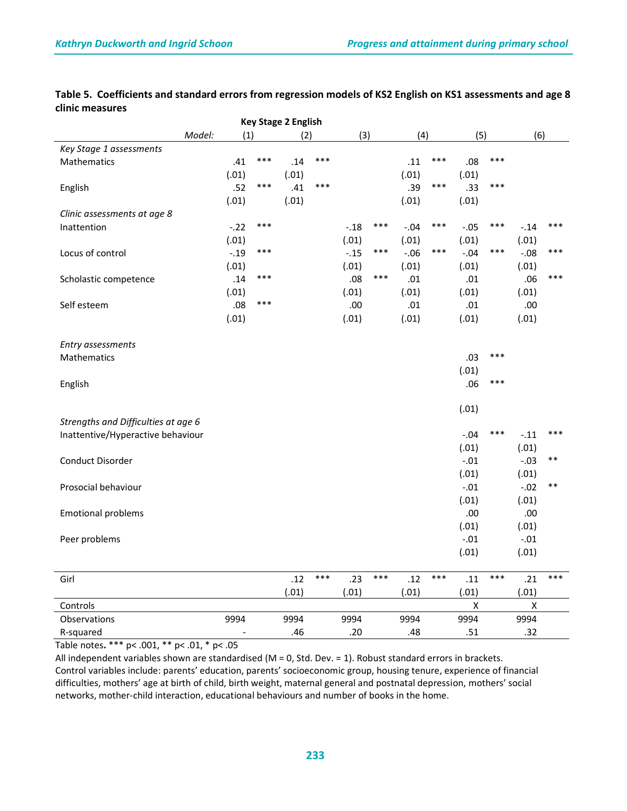| <b>Key Stage 2 English</b>          |               |       |       |       |        |       |        |       |        |       |        |       |  |
|-------------------------------------|---------------|-------|-------|-------|--------|-------|--------|-------|--------|-------|--------|-------|--|
|                                     | Model:<br>(1) |       | (2)   |       |        | (3)   |        | (4)   |        | (5)   |        | (6)   |  |
| Key Stage 1 assessments             |               |       |       |       |        |       |        |       |        |       |        |       |  |
| Mathematics                         | .41           | ***   | .14   | ***   |        |       | .11    | $***$ | .08    | $***$ |        |       |  |
|                                     | (.01)         |       | (.01) |       |        |       | (.01)  |       | (.01)  |       |        |       |  |
| English                             | .52           | $***$ | .41   | $***$ |        |       | .39    | $***$ | .33    | $***$ |        |       |  |
|                                     | (.01)         |       | (.01) |       |        |       | (.01)  |       | (.01)  |       |        |       |  |
| Clinic assessments at age 8         |               |       |       |       |        |       |        |       |        |       |        |       |  |
| Inattention                         | $-.22$        | ***   |       |       | $-.18$ | ***   | $-.04$ | $***$ | $-.05$ | ***   | $-.14$ | $***$ |  |
|                                     | (.01)         |       |       |       | (.01)  |       | (.01)  |       | (.01)  |       | (.01)  |       |  |
| Locus of control                    | $-.19$        | $***$ |       |       | $-.15$ | ***   | $-.06$ | $***$ | $-.04$ | ***   | $-.08$ | ***   |  |
|                                     | (.01)         |       |       |       | (.01)  |       | (.01)  |       | (.01)  |       | (.01)  |       |  |
| Scholastic competence               | .14           | ***   |       |       | .08    | $***$ | .01    |       | .01    |       | .06    | ***   |  |
|                                     | (.01)         |       |       |       | (.01)  |       | (.01)  |       | (.01)  |       | (.01)  |       |  |
| Self esteem                         | .08           | ***   |       |       | .00    |       | .01    |       | .01    |       | .00    |       |  |
|                                     | (.01)         |       |       |       | (.01)  |       | (.01)  |       | (.01)  |       | (.01)  |       |  |
|                                     |               |       |       |       |        |       |        |       |        |       |        |       |  |
| Entry assessments                   |               |       |       |       |        |       |        |       |        |       |        |       |  |
| Mathematics                         |               |       |       |       |        |       |        |       | .03    | ***   |        |       |  |
|                                     |               |       |       |       |        |       |        |       | (.01)  |       |        |       |  |
| English                             |               |       |       |       |        |       |        |       | .06    | ***   |        |       |  |
|                                     |               |       |       |       |        |       |        |       |        |       |        |       |  |
|                                     |               |       |       |       |        |       |        |       | (.01)  |       |        |       |  |
| Strengths and Difficulties at age 6 |               |       |       |       |        |       |        |       |        |       |        |       |  |
| Inattentive/Hyperactive behaviour   |               |       |       |       |        |       |        |       | $-.04$ | ***   | $-.11$ | $***$ |  |
|                                     |               |       |       |       |        |       |        |       | (.01)  |       | (.01)  |       |  |
| Conduct Disorder                    |               |       |       |       |        |       |        |       | $-.01$ |       | $-.03$ | $***$ |  |
|                                     |               |       |       |       |        |       |        |       | (.01)  |       | (.01)  |       |  |
| Prosocial behaviour                 |               |       |       |       |        |       |        |       | $-.01$ |       | $-.02$ | $***$ |  |
|                                     |               |       |       |       |        |       |        |       | (.01)  |       | (.01)  |       |  |
| <b>Emotional problems</b>           |               |       |       |       |        |       |        |       | .00    |       | .00    |       |  |
|                                     |               |       |       |       |        |       |        |       | (.01)  |       | (.01)  |       |  |
| Peer problems                       |               |       |       |       |        |       |        |       | $-.01$ |       | $-.01$ |       |  |
|                                     |               |       |       |       |        |       |        |       | (.01)  |       | (.01)  |       |  |
|                                     |               |       |       |       |        |       |        |       |        |       |        |       |  |
| Girl                                |               |       | .12   | $***$ | .23    | $***$ | .12    | $***$ | .11    | $***$ | .21    | $***$ |  |
|                                     |               |       | (.01) |       | (.01)  |       | (.01)  |       | (.01)  |       | (.01)  |       |  |
| Controls                            |               |       |       |       |        |       |        |       | X      |       | X      |       |  |
| Observations                        | 9994          |       | 9994  |       | 9994   |       | 9994   |       | 9994   |       | 9994   |       |  |
| R-squared                           |               |       | .46   |       | .20    |       | .48    |       | .51    |       | .32    |       |  |

#### **Table 5. Coefficients and standard errors from regression models of KS2 English on KS1 assessments and age 8 clinic measures**

Table notes**.** \*\*\* p< .001, \*\* p< .01, \* p< .05

All independent variables shown are standardised (M = 0, Std. Dev. = 1). Robust standard errors in brackets. Control variables include: parents' education, parents' socioeconomic group, housing tenure, experience of financial difficulties, mothers' age at birth of child, birth weight, maternal general and postnatal depression, mothers' social networks, mother-child interaction, educational behaviours and number of books in the home.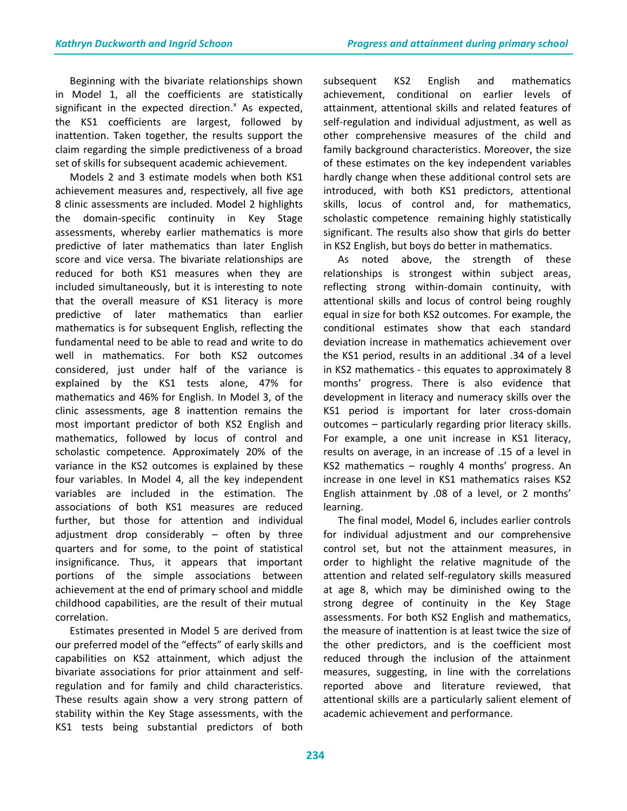Beginning with the bivariate relationships shown in Model 1, all the coefficients are statistically significant in the expected direction.<sup>x</sup> As expected, the KS1 coefficients are largest, followed by inattention. Taken together, the results support the claim regarding the simple predictiveness of a broad set of skills for subsequent academic achievement.

Models 2 and 3 estimate models when both KS1 achievement measures and, respectively, all five age 8 clinic assessments are included. Model 2 highlights the domain-specific continuity in Key Stage assessments, whereby earlier mathematics is more predictive of later mathematics than later English score and vice versa. The bivariate relationships are reduced for both KS1 measures when they are included simultaneously, but it is interesting to note that the overall measure of KS1 literacy is more predictive of later mathematics than earlier mathematics is for subsequent English, reflecting the fundamental need to be able to read and write to do well in mathematics. For both KS2 outcomes considered, just under half of the variance is explained by the KS1 tests alone, 47% for mathematics and 46% for English. In Model 3, of the clinic assessments, age 8 inattention remains the most important predictor of both KS2 English and mathematics, followed by locus of control and scholastic competence. Approximately 20% of the variance in the KS2 outcomes is explained by these four variables. In Model 4, all the key independent variables are included in the estimation. The associations of both KS1 measures are reduced further, but those for attention and individual adjustment drop considerably – often by three quarters and for some, to the point of statistical insignificance. Thus, it appears that important portions of the simple associations between achievement at the end of primary school and middle childhood capabilities, are the result of their mutual correlation.

Estimates presented in Model 5 are derived from our preferred model of the "effects" of early skills and capabilities on KS2 attainment, which adjust the bivariate associations for prior attainment and selfregulation and for family and child characteristics. These results again show a very strong pattern of stability within the Key Stage assessments, with the KS1 tests being substantial predictors of both subsequent KS2 English and mathematics achievement, conditional on earlier levels of attainment, attentional skills and related features of self-regulation and individual adjustment, as well as other comprehensive measures of the child and family background characteristics. Moreover, the size of these estimates on the key independent variables hardly change when these additional control sets are introduced, with both KS1 predictors, attentional skills, locus of control and, for mathematics, scholastic competence remaining highly statistically significant. The results also show that girls do better in KS2 English, but boys do better in mathematics.

As noted above, the strength of these relationships is strongest within subject areas, reflecting strong within-domain continuity, with attentional skills and locus of control being roughly equal in size for both KS2 outcomes. For example, the conditional estimates show that each standard deviation increase in mathematics achievement over the KS1 period, results in an additional .34 of a level in KS2 mathematics - this equates to approximately 8 months' progress. There is also evidence that development in literacy and numeracy skills over the KS1 period is important for later cross-domain outcomes – particularly regarding prior literacy skills. For example, a one unit increase in KS1 literacy, results on average, in an increase of .15 of a level in KS2 mathematics – roughly 4 months' progress. An increase in one level in KS1 mathematics raises KS2 English attainment by .08 of a level, or 2 months' learning.

The final model, Model 6, includes earlier controls for individual adjustment and our comprehensive control set, but not the attainment measures, in order to highlight the relative magnitude of the attention and related self-regulatory skills measured at age 8, which may be diminished owing to the strong degree of continuity in the Key Stage assessments. For both KS2 English and mathematics, the measure of inattention is at least twice the size of the other predictors, and is the coefficient most reduced through the inclusion of the attainment measures, suggesting, in line with the correlations reported above and literature reviewed, that attentional skills are a particularly salient element of academic achievement and performance.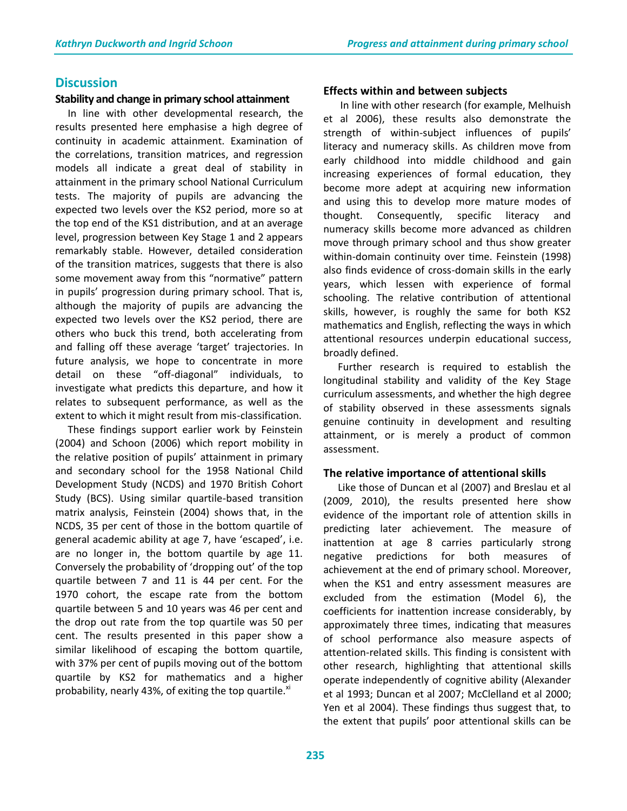# **Discussion**

#### **Stability and change in primary school attainment**

 In line with other developmental research, the results presented here emphasise a high degree of continuity in academic attainment. Examination of the correlations, transition matrices, and regression models all indicate a great deal of stability in attainment in the primary school National Curriculum tests. The majority of pupils are advancing the expected two levels over the KS2 period, more so at the top end of the KS1 distribution, and at an average level, progression between Key Stage 1 and 2 appears remarkably stable. However, detailed consideration of the transition matrices, suggests that there is also some movement away from this "normative" pattern in pupils' progression during primary school. That is, although the majority of pupils are advancing the expected two levels over the KS2 period, there are others who buck this trend, both accelerating from and falling off these average 'target' trajectories. In future analysis, we hope to concentrate in more detail on these "off-diagonal" individuals, to investigate what predicts this departure, and how it relates to subsequent performance, as well as the extent to which it might result from mis-classification.

 These findings support earlier work by Feinstein (2004) and Schoon (2006) which report mobility in the relative position of pupils' attainment in primary and secondary school for the 1958 National Child Development Study (NCDS) and 1970 British Cohort Study (BCS). Using similar quartile-based transition matrix analysis, Feinstein (2004) shows that, in the NCDS, 35 per cent of those in the bottom quartile of general academic ability at age 7, have 'escaped', i.e. are no longer in, the bottom quartile by age 11. Conversely the probability of 'dropping out' of the top quartile between 7 and 11 is 44 per cent. For the 1970 cohort, the escape rate from the bottom quartile between 5 and 10 years was 46 per cent and the drop out rate from the top quartile was 50 per cent. The results presented in this paper show a similar likelihood of escaping the bottom quartile, with 37% per cent of pupils moving out of the bottom quartile by KS2 for mathematics and a higher probability, nearly 43%, of exiting the top quartile. $x_i$ 

#### **Effects within and between subjects**

In line with other research (for example, Melhuish et al 2006), these results also demonstrate the strength of within-subject influences of pupils' literacy and numeracy skills. As children move from early childhood into middle childhood and gain increasing experiences of formal education, they become more adept at acquiring new information and using this to develop more mature modes of thought. Consequently, specific literacy and numeracy skills become more advanced as children move through primary school and thus show greater within-domain continuity over time. Feinstein (1998) also finds evidence of cross-domain skills in the early years, which lessen with experience of formal schooling. The relative contribution of attentional skills, however, is roughly the same for both KS2 mathematics and English, reflecting the ways in which attentional resources underpin educational success, broadly defined.

Further research is required to establish the longitudinal stability and validity of the Key Stage curriculum assessments, and whether the high degree of stability observed in these assessments signals genuine continuity in development and resulting attainment, or is merely a product of common assessment.

#### **The relative importance of attentional skills**

Like those of Duncan et al (2007) and Breslau et al (2009, 2010), the results presented here show evidence of the important role of attention skills in predicting later achievement. The measure of inattention at age 8 carries particularly strong negative predictions for both measures of achievement at the end of primary school. Moreover, when the KS1 and entry assessment measures are excluded from the estimation (Model 6), the coefficients for inattention increase considerably, by approximately three times, indicating that measures of school performance also measure aspects of attention-related skills. This finding is consistent with other research, highlighting that attentional skills operate independently of cognitive ability (Alexander et al 1993; Duncan et al 2007; McClelland et al 2000; Yen et al 2004). These findings thus suggest that, to the extent that pupils' poor attentional skills can be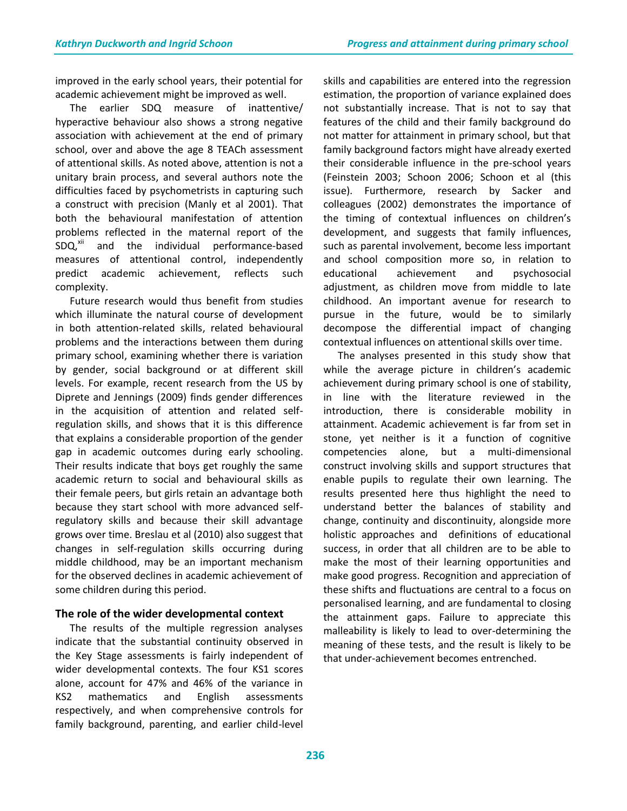improved in the early school years, their potential for academic achievement might be improved as well.

The earlier SDQ measure of inattentive/ hyperactive behaviour also shows a strong negative association with achievement at the end of primary school, over and above the age 8 TEACh assessment of attentional skills. As noted above, attention is not a unitary brain process, and several authors note the difficulties faced by psychometrists in capturing such a construct with precision (Manly et al 2001). That both the behavioural manifestation of attention problems reflected in the maternal report of the SDQ,<sup>xii</sup> and the individual performance-based measures of attentional control, independently predict academic achievement, reflects such complexity.

Future research would thus benefit from studies which illuminate the natural course of development in both attention-related skills, related behavioural problems and the interactions between them during primary school, examining whether there is variation by gender, social background or at different skill levels. For example, recent research from the US by Diprete and Jennings (2009) finds gender differences in the acquisition of attention and related selfregulation skills, and shows that it is this difference that explains a considerable proportion of the gender gap in academic outcomes during early schooling. Their results indicate that boys get roughly the same academic return to social and behavioural skills as their female peers, but girls retain an advantage both because they start school with more advanced selfregulatory skills and because their skill advantage grows over time. Breslau et al (2010) also suggest that changes in self-regulation skills occurring during middle childhood, may be an important mechanism for the observed declines in academic achievement of some children during this period.

# **The role of the wider developmental context**

The results of the multiple regression analyses indicate that the substantial continuity observed in the Key Stage assessments is fairly independent of wider developmental contexts. The four KS1 scores alone, account for 47% and 46% of the variance in KS2 mathematics and English assessments respectively, and when comprehensive controls for family background, parenting, and earlier child-level skills and capabilities are entered into the regression estimation, the proportion of variance explained does not substantially increase. That is not to say that features of the child and their family background do not matter for attainment in primary school, but that family background factors might have already exerted their considerable influence in the pre-school years (Feinstein 2003; Schoon 2006; Schoon et al (this issue). Furthermore, research by Sacker and colleagues (2002) demonstrates the importance of the timing of contextual influences on children's development, and suggests that family influences, such as parental involvement, become less important and school composition more so, in relation to educational achievement and psychosocial adjustment, as children move from middle to late childhood. An important avenue for research to pursue in the future, would be to similarly decompose the differential impact of changing contextual influences on attentional skills over time.

The analyses presented in this study show that while the average picture in children's academic achievement during primary school is one of stability, in line with the literature reviewed in the introduction, there is considerable mobility in attainment. Academic achievement is far from set in stone, yet neither is it a function of cognitive competencies alone, but a multi-dimensional construct involving skills and support structures that enable pupils to regulate their own learning. The results presented here thus highlight the need to understand better the balances of stability and change, continuity and discontinuity, alongside more holistic approaches and definitions of educational success, in order that all children are to be able to make the most of their learning opportunities and make good progress. Recognition and appreciation of these shifts and fluctuations are central to a focus on personalised learning, and are fundamental to closing the attainment gaps. Failure to appreciate this malleability is likely to lead to over-determining the meaning of these tests, and the result is likely to be that under-achievement becomes entrenched.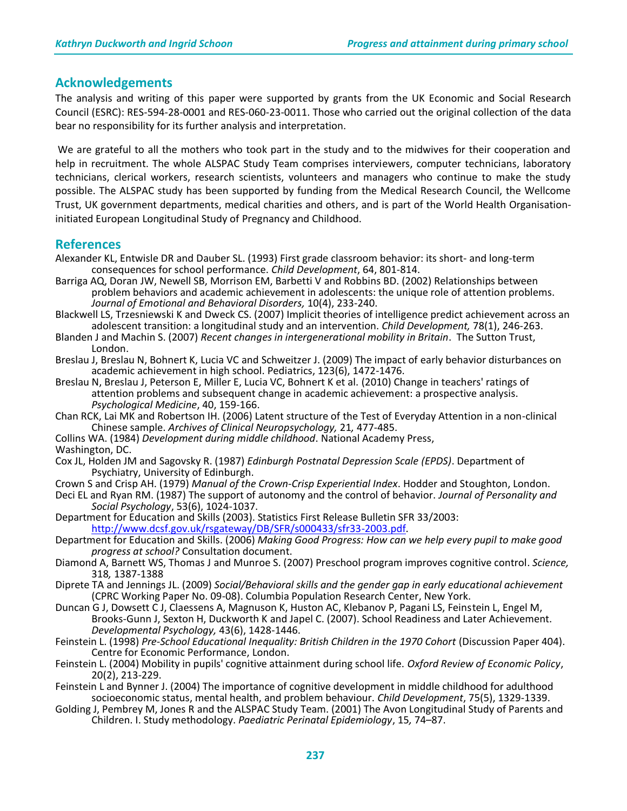## **Acknowledgements**

The analysis and writing of this paper were supported by grants from the UK Economic and Social Research Council (ESRC): RES-594-28-0001 and RES-060-23-0011. Those who carried out the original collection of the data bear no responsibility for its further analysis and interpretation.

We are grateful to all the mothers who took part in the study and to the midwives for their cooperation and help in recruitment. The whole ALSPAC Study Team comprises interviewers, computer technicians, laboratory technicians, clerical workers, research scientists, volunteers and managers who continue to make the study possible. The ALSPAC study has been supported by funding from the Medical Research Council, the Wellcome Trust, UK government departments, medical charities and others, and is part of the World Health Organisationinitiated European Longitudinal Study of Pregnancy and Childhood.

#### **References**

- Alexander KL, Entwisle DR and Dauber SL. (1993) First grade classroom behavior: its short- and long-term consequences for school performance. *Child Development*, 64, 801-814.
- Barriga AQ, Doran JW, Newell SB, Morrison EM, Barbetti V and Robbins BD. (2002) Relationships between problem behaviors and academic achievement in adolescents: the unique role of attention problems. *Journal of Emotional and Behavioral Disorders,* 10(4), 233-240.
- Blackwell LS, Trzesniewski K and Dweck CS. (2007) Implicit theories of intelligence predict achievement across an adolescent transition: a longitudinal study and an intervention. *Child Development,* 78(1), 246-263.
- Blanden J and Machin S. (2007) *Recent changes in intergenerational mobility in Britain*. The Sutton Trust, London.

Breslau J, Breslau N, Bohnert K, Lucia VC and Schweitzer J. (2009) The impact of early behavior disturbances on academic achievement in high school. Pediatrics, 123(6), 1472-1476.

Breslau N, Breslau J, Peterson E, Miller E, Lucia VC, Bohnert K et al. (2010) Change in teachers' ratings of attention problems and subsequent change in academic achievement: a prospective analysis. *Psychological Medicine*, 40, 159-166.

- Chan RCK, Lai MK and Robertson IH. (2006) Latent structure of the Test of Everyday Attention in a non-clinical Chinese sample. *Archives of Clinical Neuropsychology,* 21*,* 477-485.
- Collins WA. (1984) *Development during middle childhood*. National Academy Press,
- Washington, DC.
- Cox JL, Holden JM and Sagovsky R. (1987) *Edinburgh Postnatal Depression Scale (EPDS)*. Department of Psychiatry, University of Edinburgh.
- Crown S and Crisp AH. (1979) *Manual of the Crown-Crisp Experiential Index*. Hodder and Stoughton, London.
- Deci EL and Ryan RM. (1987) The support of autonomy and the control of behavior. *Journal of Personality and Social Psychology*, 53(6), 1024-1037.
- Department for Education and Skills (2003). Statistics First Release Bulletin SFR 33/2003: [http://www.dcsf.gov.uk/rsgateway/DB/SFR/s000433/sfr33-2003.pdf.](http://www.dcsf.gov.uk/rsgateway/DB/SFR/s000433/sfr33-2003.pdf)
- Department for Education and Skills. (2006) *Making Good Progress: How can we help every pupil to make good progress at school?* Consultation document.
- Diamond A, Barnett WS, Thomas J and Munroe S. (2007) Preschool program improves cognitive control. *Science,*  318*,* 1387-1388
- Diprete TA and Jennings JL. (2009) *Social/Behavioral skills and the gender gap in early educational achievement*  (CPRC Working Paper No. 09-08). Columbia Population Research Center, New York.
- Duncan G J, Dowsett C J, Claessens A, Magnuson K, Huston AC, Klebanov P, Pagani LS, Feinstein L, Engel M, Brooks-Gunn J, Sexton H, Duckworth K and Japel C. (2007). School Readiness and Later Achievement. *Developmental Psychology,* 43(6), 1428-1446.
- Feinstein L. (1998) *Pre-School Educational Inequality: British Children in the 1970 Cohort* (Discussion Paper 404). Centre for Economic Performance, London.
- Feinstein L. (2004) Mobility in pupils' cognitive attainment during school life. *Oxford Review of Economic Policy*, 20(2), 213-229.
- Feinstein L and Bynner J. (2004) The importance of cognitive development in middle childhood for adulthood socioeconomic status, mental health, and problem behaviour. *Child Development*, 75(5), 1329-1339.
- Golding J, Pembrey M, Jones R and the ALSPAC Study Team. (2001) The Avon Longitudinal Study of Parents and Children. I. Study methodology. *Paediatric Perinatal Epidemiology*, 15*,* 74–87.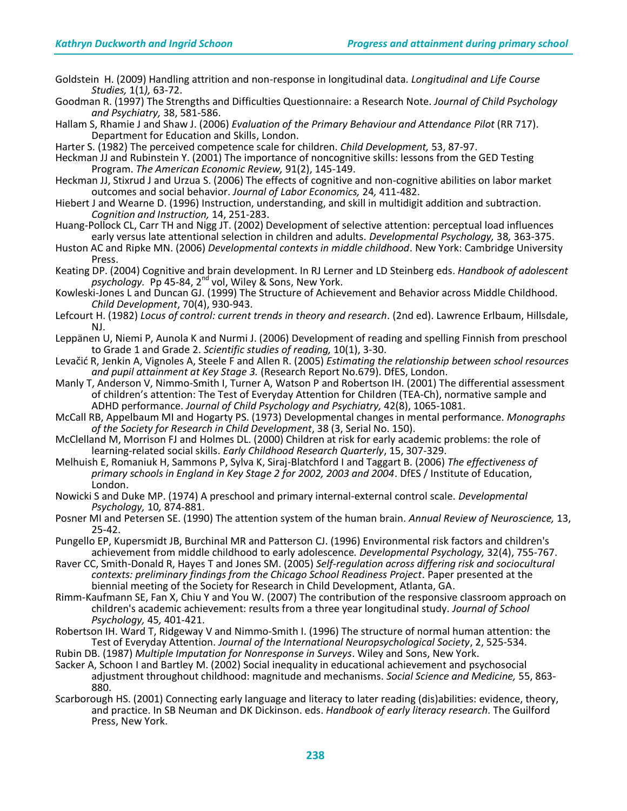- Goldstein H. (2009) Handling attrition and non-response in longitudinal data. *Longitudinal and Life Course Studies,* 1(1*),* 63-72.
- Goodman R. (1997) The Strengths and Difficulties Questionnaire: a Research Note. *Journal of Child Psychology and Psychiatry,* 38, 581-586.

Hallam S, Rhamie J and Shaw J. (2006) *Evaluation of the Primary Behaviour and Attendance Pilot* (RR 717). Department for Education and Skills, London.

Harter S. (1982) The perceived competence scale for children. *Child Development,* 53, 87-97.

Heckman JJ and Rubinstein Y. (2001) The importance of noncognitive skills: lessons from the GED Testing Program. *The American Economic Review,* 91(2), 145-149.

- Heckman JJ, Stixrud J and Urzua S. (2006) The effects of cognitive and non-cognitive abilities on labor market outcomes and social behavior. *Journal of Labor Economics,* 24*,* 411-482.
- Hiebert J and Wearne D. (1996) Instruction, understanding, and skill in multidigit addition and subtraction. *Cognition and Instruction,* 14, 251-283.
- Huang-Pollock CL, Carr TH and Nigg JT. (2002) Development of selective attention: perceptual load influences early versus late attentional selection in children and adults. *Developmental Psychology,* 38*,* 363-375.
- Huston AC and Ripke MN. (2006) *Developmental contexts in middle childhood*. New York: Cambridge University Press.
- Keating DP. (2004) Cognitive and brain development. In RJ Lerner and LD Steinberg eds. *Handbook of adolescent psychology.* Pp 45-84, 2nd vol, Wiley & Sons, New York.
- Kowleski-Jones L and Duncan GJ. (1999) The Structure of Achievement and Behavior across Middle Childhood. *Child Development*, 70(4), 930-943.
- Lefcourt H. (1982) *Locus of control: current trends in theory and research*. (2nd ed). Lawrence Erlbaum, Hillsdale, NJ.
- Leppänen U, Niemi P, Aunola K and Nurmi J. (2006) Development of reading and spelling Finnish from preschool to Grade 1 and Grade 2. *Scientific studies of reading,* 10(1), 3-30.
- Levačid R, Jenkin A, Vignoles A, Steele F and Allen R. (2005) *Estimating the relationship between school resources and pupil attainment at Key Stage 3.* (Research Report No.679). DfES, London.
- Manly T, Anderson V, Nimmo-Smith I, Turner A, Watson P and Robertson IH. (2001) The differential assessment of children's attention: The Test of Everyday Attention for Children (TEA-Ch), normative sample and ADHD performance. *Journal of Child Psychology and Psychiatry,* 42(8), 1065-1081.
- McCall RB, Appelbaum MI and Hogarty PS. (1973) Developmental changes in mental performance. *Monographs of the Society for Research in Child Development*, 38 (3, Serial No. 150).
- McClelland M, Morrison FJ and Holmes DL. (2000) Children at risk for early academic problems: the role of learning-related social skills. *Early Childhood Research Quarterly*, 15, 307-329.
- Melhuish E, Romaniuk H, Sammons P, Sylva K, Siraj-Blatchford I and Taggart B. (2006) *The effectiveness of primary schools in England in Key Stage 2 for 2002, 2003 and 2004*. DfES / Institute of Education, London.
- Nowicki S and Duke MP. (1974) A preschool and primary internal-external control scale. *Developmental Psychology,* 10*,* 874-881.
- Posner MI and Petersen SE. (1990) The attention system of the human brain. *Annual Review of Neuroscience,* 13, 25-42.
- Pungello EP, Kupersmidt JB, Burchinal MR and Patterson CJ. (1996) Environmental risk factors and children's achievement from middle childhood to early adolescence*. Developmental Psychology,* 32(4), 755-767.
- Raver CC, Smith-Donald R, Hayes T and Jones SM. (2005) *Self-regulation across differing risk and sociocultural contexts: preliminary findings from the Chicago School Readiness Project*. Paper presented at the biennial meeting of the Society for Research in Child Development, Atlanta, GA.
- Rimm-Kaufmann SE, Fan X, Chiu Y and You W. (2007) The contribution of the responsive classroom approach on children's academic achievement: results from a three year longitudinal study. *Journal of School Psychology,* 45*,* 401-421.
- Robertson IH. Ward T, Ridgeway V and Nimmo-Smith I. (1996) The structure of normal human attention: the Test of Everyday Attention. *Journal of the International Neuropsychological Society*, 2, 525-534.
- Rubin DB. (1987) *Multiple Imputation for Nonresponse in Surveys*. Wiley and Sons, New York.
- Sacker A, Schoon I and Bartley M. (2002) Social inequality in educational achievement and psychosocial adjustment throughout childhood: magnitude and mechanisms. *Social Science and Medicine,* 55, 863- 880.
- Scarborough HS. (2001) Connecting early language and literacy to later reading (dis)abilities: evidence, theory, and practice. In SB Neuman and DK Dickinson. eds. *Handbook of early literacy research*. The Guilford Press, New York.